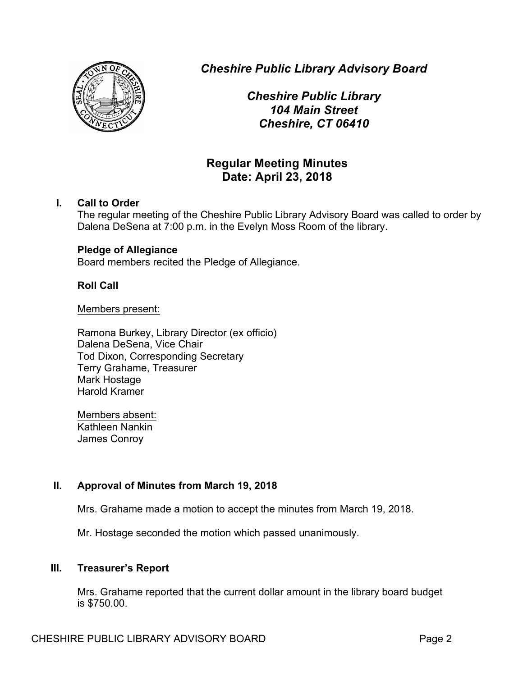

*Cheshire Public Library Advisory Board*

*Cheshire Public Library 104 Main Street Cheshire, CT 06410*

# **Regular Meeting Minutes Date: April 23, 2018**

## **I. Call to Order**

The regular meeting of the Cheshire Public Library Advisory Board was called to order by Dalena DeSena at 7:00 p.m. in the Evelyn Moss Room of the library.

## **Pledge of Allegiance**

Board members recited the Pledge of Allegiance.

## **Roll Call**

#### Members present:

Ramona Burkey, Library Director (ex officio) Dalena DeSena, Vice Chair Tod Dixon, Corresponding Secretary Terry Grahame, Treasurer Mark Hostage Harold Kramer

Members absent: Kathleen Nankin James Conroy

## **II. Approval of Minutes from March 19, 2018**

Mrs. Grahame made a motion to accept the minutes from March 19, 2018.

Mr. Hostage seconded the motion which passed unanimously.

## **III. Treasurer's Report**

Mrs. Grahame reported that the current dollar amount in the library board budget is \$750.00.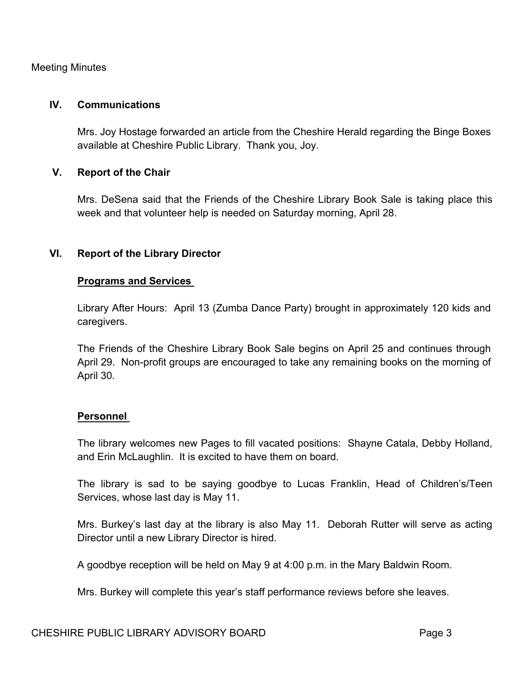#### Meeting Minutes

#### **IV. Communications**

Mrs. Joy Hostage forwarded an article from the Cheshire Herald regarding the Binge Boxes available at Cheshire Public Library. Thank you, Joy.

#### **V. Report of the Chair**

Mrs. DeSena said that the Friends of the Cheshire Library Book Sale is taking place this week and that volunteer help is needed on Saturday morning, April 28.

#### **VI. Report of the Library Director**

#### **Programs and Services**

Library After Hours: April 13 (Zumba Dance Party) brought in approximately 120 kids and caregivers.

The Friends of the Cheshire Library Book Sale begins on April 25 and continues through April 29. Non-profit groups are encouraged to take any remaining books on the morning of April 30.

#### **Personnel**

The library welcomes new Pages to fill vacated positions: Shayne Catala, Debby Holland, and Erin McLaughlin. It is excited to have them on board.

The library is sad to be saying goodbye to Lucas Franklin, Head of Children's/Teen Services, whose last day is May 11.

Mrs. Burkey's last day at the library is also May 11. Deborah Rutter will serve as acting Director until a new Library Director is hired.

A goodbye reception will be held on May 9 at 4:00 p.m. in the Mary Baldwin Room.

Mrs. Burkey will complete this year's staff performance reviews before she leaves.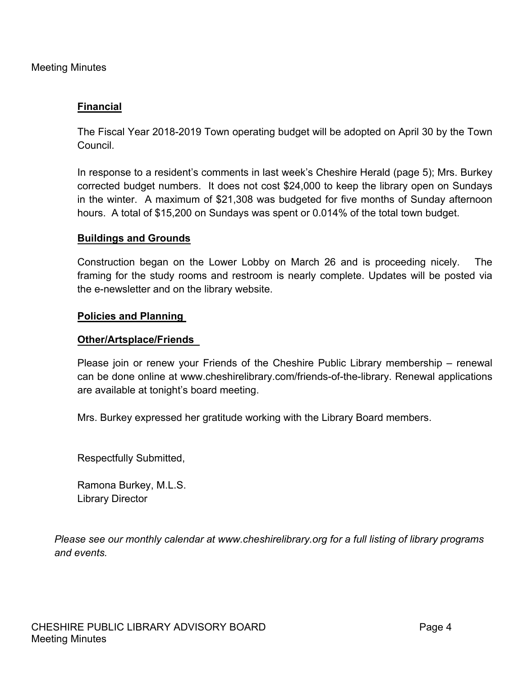Meeting Minutes

## **Financial**

The Fiscal Year 2018-2019 Town operating budget will be adopted on April 30 by the Town Council.

In response to a resident's comments in last week's Cheshire Herald (page 5); Mrs. Burkey corrected budget numbers. It does not cost \$24,000 to keep the library open on Sundays in the winter. A maximum of \$21,308 was budgeted for five months of Sunday afternoon hours. A total of \$15,200 on Sundays was spent or 0.014% of the total town budget.

## **Buildings and Grounds**

Construction began on the Lower Lobby on March 26 and is proceeding nicely. The framing for the study rooms and restroom is nearly complete. Updates will be posted via the e-newsletter and on the library website.

#### **Policies and Planning**

#### **Other/Artsplace/Friends**

Please join or renew your Friends of the Cheshire Public Library membership – renewal can be done online at www.cheshirelibrary.com/friends-of-the-library. Renewal applications are available at tonight's board meeting.

Mrs. Burkey expressed her gratitude working with the Library Board members.

Respectfully Submitted,

Ramona Burkey, M.L.S. Library Director

*Please see our monthly calendar at www.cheshirelibrary.org for a full listing of library programs and events.*